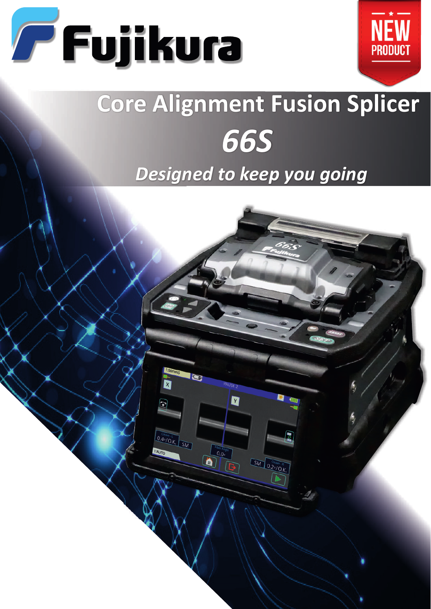



# **Core Alignment Fusion Splicer** *66S*

## *Designed to keep you going*